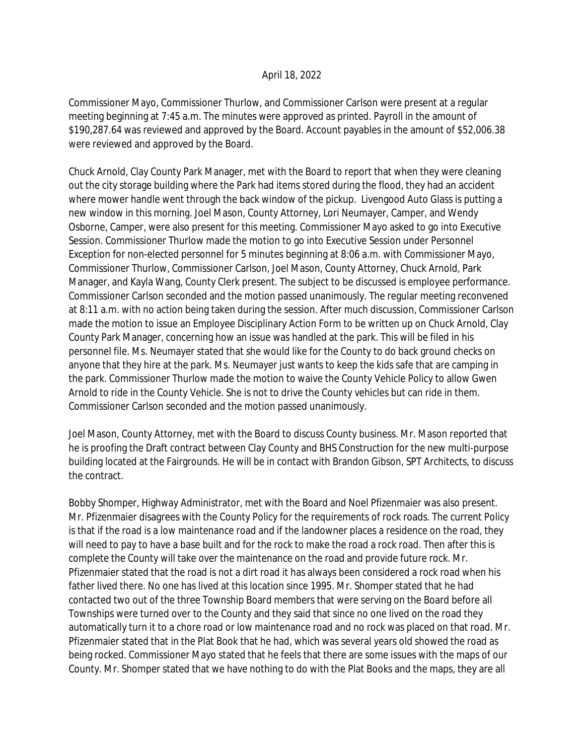## April 18, 2022

Commissioner Mayo, Commissioner Thurlow, and Commissioner Carlson were present at a regular meeting beginning at 7:45 a.m. The minutes were approved as printed. Payroll in the amount of \$190,287.64 was reviewed and approved by the Board. Account payables in the amount of \$52,006.38 were reviewed and approved by the Board.

Chuck Arnold, Clay County Park Manager, met with the Board to report that when they were cleaning out the city storage building where the Park had items stored during the flood, they had an accident where mower handle went through the back window of the pickup. Livengood Auto Glass is putting a new window in this morning. Joel Mason, County Attorney, Lori Neumayer, Camper, and Wendy Osborne, Camper, were also present for this meeting. Commissioner Mayo asked to go into Executive Session. Commissioner Thurlow made the motion to go into Executive Session under Personnel Exception for non-elected personnel for 5 minutes beginning at 8:06 a.m. with Commissioner Mayo, Commissioner Thurlow, Commissioner Carlson, Joel Mason, County Attorney, Chuck Arnold, Park Manager, and Kayla Wang, County Clerk present. The subject to be discussed is employee performance. Commissioner Carlson seconded and the motion passed unanimously. The regular meeting reconvened at 8:11 a.m. with no action being taken during the session. After much discussion, Commissioner Carlson made the motion to issue an Employee Disciplinary Action Form to be written up on Chuck Arnold, Clay County Park Manager, concerning how an issue was handled at the park. This will be filed in his personnel file. Ms. Neumayer stated that she would like for the County to do back ground checks on anyone that they hire at the park. Ms. Neumayer just wants to keep the kids safe that are camping in the park. Commissioner Thurlow made the motion to waive the County Vehicle Policy to allow Gwen Arnold to ride in the County Vehicle. She is not to drive the County vehicles but can ride in them. Commissioner Carlson seconded and the motion passed unanimously.

Joel Mason, County Attorney, met with the Board to discuss County business. Mr. Mason reported that he is proofing the Draft contract between Clay County and BHS Construction for the new multi-purpose building located at the Fairgrounds. He will be in contact with Brandon Gibson, SPT Architects, to discuss the contract.

Bobby Shomper, Highway Administrator, met with the Board and Noel Pfizenmaier was also present. Mr. Pfizenmaier disagrees with the County Policy for the requirements of rock roads. The current Policy is that if the road is a low maintenance road and if the landowner places a residence on the road, they will need to pay to have a base built and for the rock to make the road a rock road. Then after this is complete the County will take over the maintenance on the road and provide future rock. Mr. Pfizenmaier stated that the road is not a dirt road it has always been considered a rock road when his father lived there. No one has lived at this location since 1995. Mr. Shomper stated that he had contacted two out of the three Township Board members that were serving on the Board before all Townships were turned over to the County and they said that since no one lived on the road they automatically turn it to a chore road or low maintenance road and no rock was placed on that road. Mr. Pfizenmaier stated that in the Plat Book that he had, which was several years old showed the road as being rocked. Commissioner Mayo stated that he feels that there are some issues with the maps of our County. Mr. Shomper stated that we have nothing to do with the Plat Books and the maps, they are all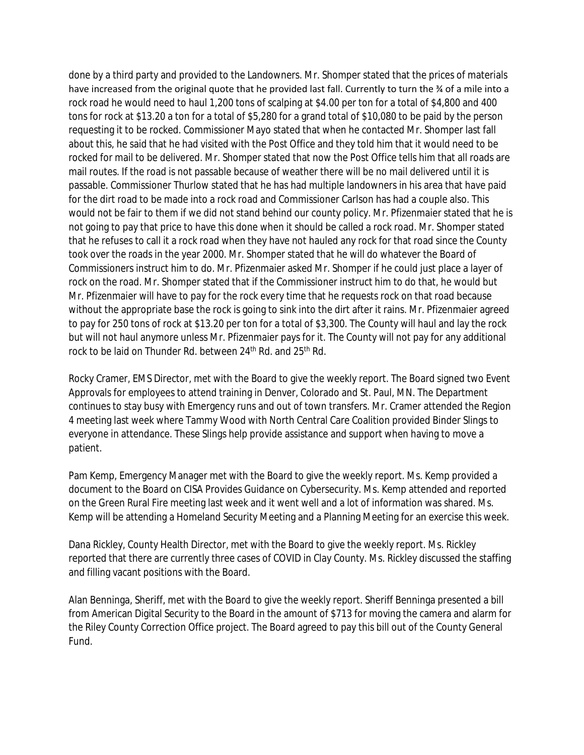done by a third party and provided to the Landowners. Mr. Shomper stated that the prices of materials have increased from the original quote that he provided last fall. Currently to turn the % of a mile into a rock road he would need to haul 1,200 tons of scalping at \$4.00 per ton for a total of \$4,800 and 400 tons for rock at \$13.20 a ton for a total of \$5,280 for a grand total of \$10,080 to be paid by the person requesting it to be rocked. Commissioner Mayo stated that when he contacted Mr. Shomper last fall about this, he said that he had visited with the Post Office and they told him that it would need to be rocked for mail to be delivered. Mr. Shomper stated that now the Post Office tells him that all roads are mail routes. If the road is not passable because of weather there will be no mail delivered until it is passable. Commissioner Thurlow stated that he has had multiple landowners in his area that have paid for the dirt road to be made into a rock road and Commissioner Carlson has had a couple also. This would not be fair to them if we did not stand behind our county policy. Mr. Pfizenmaier stated that he is not going to pay that price to have this done when it should be called a rock road. Mr. Shomper stated that he refuses to call it a rock road when they have not hauled any rock for that road since the County took over the roads in the year 2000. Mr. Shomper stated that he will do whatever the Board of Commissioners instruct him to do. Mr. Pfizenmaier asked Mr. Shomper if he could just place a layer of rock on the road. Mr. Shomper stated that if the Commissioner instruct him to do that, he would but Mr. Pfizenmaier will have to pay for the rock every time that he requests rock on that road because without the appropriate base the rock is going to sink into the dirt after it rains. Mr. Pfizenmaier agreed to pay for 250 tons of rock at \$13.20 per ton for a total of \$3,300. The County will haul and lay the rock but will not haul anymore unless Mr. Pfizenmaier pays for it. The County will not pay for any additional rock to be laid on Thunder Rd. between 24<sup>th</sup> Rd. and 25<sup>th</sup> Rd.

Rocky Cramer, EMS Director, met with the Board to give the weekly report. The Board signed two Event Approvals for employees to attend training in Denver, Colorado and St. Paul, MN. The Department continues to stay busy with Emergency runs and out of town transfers. Mr. Cramer attended the Region 4 meeting last week where Tammy Wood with North Central Care Coalition provided Binder Slings to everyone in attendance. These Slings help provide assistance and support when having to move a patient.

Pam Kemp, Emergency Manager met with the Board to give the weekly report. Ms. Kemp provided a document to the Board on CISA Provides Guidance on Cybersecurity. Ms. Kemp attended and reported on the Green Rural Fire meeting last week and it went well and a lot of information was shared. Ms. Kemp will be attending a Homeland Security Meeting and a Planning Meeting for an exercise this week.

Dana Rickley, County Health Director, met with the Board to give the weekly report. Ms. Rickley reported that there are currently three cases of COVID in Clay County. Ms. Rickley discussed the staffing and filling vacant positions with the Board.

Alan Benninga, Sheriff, met with the Board to give the weekly report. Sheriff Benninga presented a bill from American Digital Security to the Board in the amount of \$713 for moving the camera and alarm for the Riley County Correction Office project. The Board agreed to pay this bill out of the County General Fund.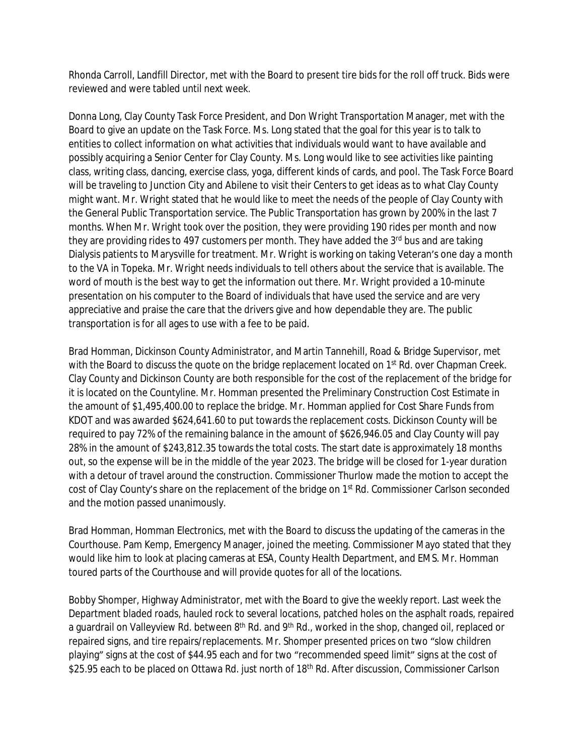Rhonda Carroll, Landfill Director, met with the Board to present tire bids for the roll off truck. Bids were reviewed and were tabled until next week.

Donna Long, Clay County Task Force President, and Don Wright Transportation Manager, met with the Board to give an update on the Task Force. Ms. Long stated that the goal for this year is to talk to entities to collect information on what activities that individuals would want to have available and possibly acquiring a Senior Center for Clay County. Ms. Long would like to see activities like painting class, writing class, dancing, exercise class, yoga, different kinds of cards, and pool. The Task Force Board will be traveling to Junction City and Abilene to visit their Centers to get ideas as to what Clay County might want. Mr. Wright stated that he would like to meet the needs of the people of Clay County with the General Public Transportation service. The Public Transportation has grown by 200% in the last 7 months. When Mr. Wright took over the position, they were providing 190 rides per month and now they are providing rides to 497 customers per month. They have added the 3<sup>rd</sup> bus and are taking Dialysis patients to Marysville for treatment. Mr. Wright is working on taking Veteran's one day a month to the VA in Topeka. Mr. Wright needs individuals to tell others about the service that is available. The word of mouth is the best way to get the information out there. Mr. Wright provided a 10-minute presentation on his computer to the Board of individuals that have used the service and are very appreciative and praise the care that the drivers give and how dependable they are. The public transportation is for all ages to use with a fee to be paid.

Brad Homman, Dickinson County Administrator, and Martin Tannehill, Road & Bridge Supervisor, met with the Board to discuss the quote on the bridge replacement located on 1<sup>st</sup> Rd. over Chapman Creek. Clay County and Dickinson County are both responsible for the cost of the replacement of the bridge for it is located on the Countyline. Mr. Homman presented the Preliminary Construction Cost Estimate in the amount of \$1,495,400.00 to replace the bridge. Mr. Homman applied for Cost Share Funds from KDOT and was awarded \$624,641.60 to put towards the replacement costs. Dickinson County will be required to pay 72% of the remaining balance in the amount of \$626,946.05 and Clay County will pay 28% in the amount of \$243,812.35 towards the total costs. The start date is approximately 18 months out, so the expense will be in the middle of the year 2023. The bridge will be closed for 1-year duration with a detour of travel around the construction. Commissioner Thurlow made the motion to accept the cost of Clay County's share on the replacement of the bridge on 1<sup>st</sup> Rd. Commissioner Carlson seconded and the motion passed unanimously.

Brad Homman, Homman Electronics, met with the Board to discuss the updating of the cameras in the Courthouse. Pam Kemp, Emergency Manager, joined the meeting. Commissioner Mayo stated that they would like him to look at placing cameras at ESA, County Health Department, and EMS. Mr. Homman toured parts of the Courthouse and will provide quotes for all of the locations.

Bobby Shomper, Highway Administrator, met with the Board to give the weekly report. Last week the Department bladed roads, hauled rock to several locations, patched holes on the asphalt roads, repaired a guardrail on Valleyview Rd. between 8<sup>th</sup> Rd. and 9<sup>th</sup> Rd., worked in the shop, changed oil, replaced or repaired signs, and tire repairs/replacements. Mr. Shomper presented prices on two "slow children playing" signs at the cost of \$44.95 each and for two "recommended speed limit" signs at the cost of \$25.95 each to be placed on Ottawa Rd. just north of 18<sup>th</sup> Rd. After discussion, Commissioner Carlson